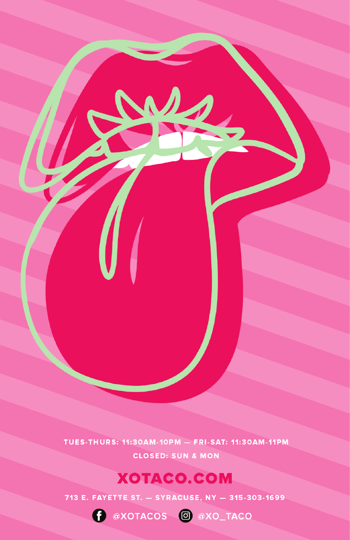TUES-THURS: 11:30AM-10PM - FRI-SAT: 11:30AM-11PM **CLOSED: SUN & MON** 

### **XOTACO.COM**

713 E. FAYETTE ST. - SYRACUSE, NY - 315-303-1699

CONDITIONS CONSIDER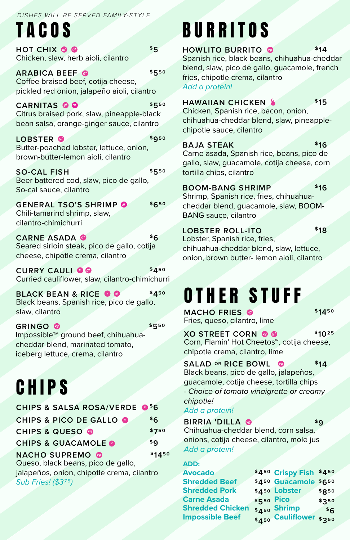#### *DISHES WILL BE SERVED FAMILY-STYLE*

TACOS

**HOT CHIX** *df gf* Chicken, slaw, herb aioli, cilantro

**ARABICA BEEF** *gf* Coffee braised beef, cotija cheese, pickled red onion, jalapeño aioli, cilantro **\$550**

**CARNITAS** *df* Citrus braised pork, slaw, pineapple-black bean salsa, orange-ginger sauce, cilantro **\$550** *gf*

**LOBSTER** *gf* Butter-poached lobster, lettuce, onion, brown-butter-lemon aioli, cilantro **\$950**

**SO-CAL FISH** Beer battered cod, slaw, pico de gallo, So-cal sauce, cilantro **\$550**

**GENERAL TSO'S SHRIMP** *df* Chili-tamarind shrimp, slaw, cilantro-chimichurri **\$650**

**CARNE ASADA** *gf* Seared sirloin steak, pico de gallo, cotija cheese, chipotle crema, cilantro **\$6**

**CURRY CAULI** Curried cauliflower, slaw, cilantro-chimichurri *gf* **\$450**

**BLACK BEAN & RICE OF** Black beans, Spanish rice, pico de gallo, slaw, cilantro **\$450**

**GRINGO** *vg*Impossible**TM** ground beef, chihuahuacheddar blend, marinated tomato, iceberg lettuce, crema, cilantro **\$550**

## **CHIPS**

| CHIPS & SALSA ROSA/VERDE <sup>\$6</sup>    |        |  |
|--------------------------------------------|--------|--|
| <b>CHIPS &amp; PICO DE GALLO O</b>         | \$6    |  |
| <b>CHIPS &amp; QUESO @</b>                 | \$750  |  |
| <b>CHIPS &amp; GUACAMOLE O</b>             | \$q    |  |
| <b>NACHO SUPREMO @</b>                     | \$1450 |  |
| Queso, black beans, pico de gallo,         |        |  |
| jalapeños, onion, chipotle crema, cilantro |        |  |

*Sub Fries! (\$375)*

# BURRITOS

**HOWLITO BURRITO** Spanish rice, black beans, chihuahua-cheddar blend, slaw, pico de gallo, guacamole, french fries, chipotle crema, cilantro *vg* **\$14**

*Add a protein!*

**\$5**

#### **HAWAIIAN CHICKEN**

**\$15**

**\$16**

Chicken, Spanish rice, bacon, onion, chihuahua-cheddar blend, slaw, pineapplechipotle sauce, cilantro

#### **BAJA STEAK**

Carne asada, Spanish rice, beans, pico de gallo, slaw, guacamole, cotija cheese, corn tortilla chips, cilantro

#### **BOOM-BANG SHRIMP**

**\$16**

Shrimp, Spanish rice, fries, chihuahuacheddar blend, guacamole, slaw, BOOM-BANG sauce, cilantro

#### **LOBSTER ROLL-ITO**

**\$18**

Lobster, Spanish rice, fries, chihuahua-cheddar blend, slaw, lettuce, onion, brown butter- lemon aioli, cilantro

### OTHER STUFF

**MACHO FRIES** *vg* Fries, queso, cilantro, lime **\$1450**

**XO STREET CORN © @** Corn, Flamin' Hot Cheetos™, cotija cheese, chipotle crema, cilantro, lime **\$1025**

#### **SALAD OR RICE BOWL** *vg* **\$14**

Black beans, pico de gallo, jalapeños, guacamole, cotija cheese, tortilla chips *- Choice of tomato vinaigrette or creamy chipotle!*

*Add a protein!*

#### **BIRRIA 'DILLA** *vg*

**\$9**

Chihuahua-cheddar blend, corn salsa, onions, cotija cheese, cilantro, mole jus *Add a protein!*

### **ADD:**

| <b>Avocado</b>          |            | \$450 Crispy Fish \$450 |       |
|-------------------------|------------|-------------------------|-------|
| <b>Shredded Beef</b>    |            | \$450 Guacamole \$650   |       |
| <b>Shredded Pork</b>    |            | \$450 Lobster           | \$850 |
| <b>Carne Asada</b>      | \$550 Pico |                         | \$350 |
| <b>Shredded Chicken</b> |            | \$450 Shrimp            | \$6   |
| <b>Impossible Beef</b>  |            | \$450 Cauliflower \$350 |       |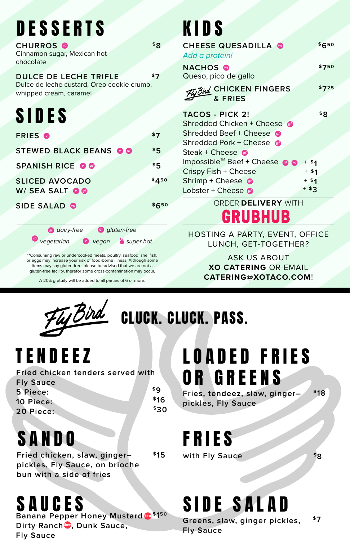# **DESSERTS**

| <b>CHURROS</b><br>Cinnamon sugar, Mexican hot<br>chocolate                                           | \$Ω   |
|------------------------------------------------------------------------------------------------------|-------|
| <b>DULCE DE LECHE TRIFLE</b><br>Dulce de leche custard, Oreo cookie crumb,<br>whipped cream, caramel | \$7   |
| <b>SIDES</b>                                                                                         |       |
| <b>FRIES O</b>                                                                                       | \$7   |
| <b>STEWED BLACK BEANS OG</b>                                                                         | \$5   |
| <b>SPANISH RICE OO</b>                                                                               | \$5   |
| <b>SLICED AVOCADO</b><br>W/ SEA SALT OO                                                              | \$450 |
| <b>SIDE SALAD @</b>                                                                                  | \$650 |
| g) gluten-free<br>dairy-free                                                                         |       |
| vegan Super hot<br>vegetarian                                                                        |       |

\*\*Consuming raw or undercooked meats, poultry, seafood, shellfish, or eggs may increase your risk of food-borne illness. Although some items may say gluten-free, please be advised that we are not a gluten-free facility, therefor some cross-contamination may occur.

A 20% gratuity will be added to all parties of 6 or more.



CLUCK. CLUCK. PASS.

# TENDEEZ

**Fried chicken tenders served with Fly Sauce 5 Piece: 10 Piece: 20 Piece: \$9 \$16 \$30**

# SANDO

**Fried chicken, slaw, ginger– pickles, Fly Sauce, on brioche bun with a side of fries \$15**

### SAUCES

**Banana Pepper Honey Mustard <sup>\$150</sup> Greens slaw ginger pickles 57** Dirty Ranch**®**, Dunk Sauce, **Fly Sauce**

# **KIDS**

|          |       | Lobster + Cheese @            | + \$ 3 |       |
|----------|-------|-------------------------------|--------|-------|
|          | \$450 | Shrimp + Cheese $\bullet$     | $+ $1$ |       |
|          |       | Crispy Fish + Cheese          | $+ $1$ |       |
|          | \$5   | Impossible™ Beef + Cheese @ @ | $+ $1$ |       |
| gf       | \$5   | Steak + Cheese $\bullet$      |        |       |
|          |       | Shredded Pork + Cheese        |        |       |
|          | \$7   | Shredded Beef + Cheese        |        |       |
|          |       | Shredded Chicken + Cheese     |        |       |
|          |       | <b>TACOS - PICK 2!</b>        |        | \$Ŗ   |
|          |       | & FRIES                       |        |       |
| e crumb, |       | Further CHICKEN FINGERS       |        | \$725 |
|          | \$7   | Queso, pico de gallo          |        |       |
|          |       | <b>NACHOS</b>                 |        | \$750 |
|          |       | Add a protein!                |        |       |
|          | \$8   | <b>CHEESE QUESADILLA @</b>    |        | \$650 |
|          |       |                               |        |       |

ORDER **DELIVERY** WITH GRUBHUB

HOSTING A PARTY, EVENT, OFFICE LUNCH, GET-TOGETHER?

> ASK US ABOUT **XO CATERING** OR EMAIL **CATERING@XOTACO.COM**!

### LOADED FRIES OR GREENS

**Fries, tendeez, slaw, ginger– pickles, Fly Sauce**

**\$18**

FRIES

with Fly Sauce  $*8$ 

# New **\$150** SIDE SALAD

**Greens, slaw, ginger pickles, Fly Sauce**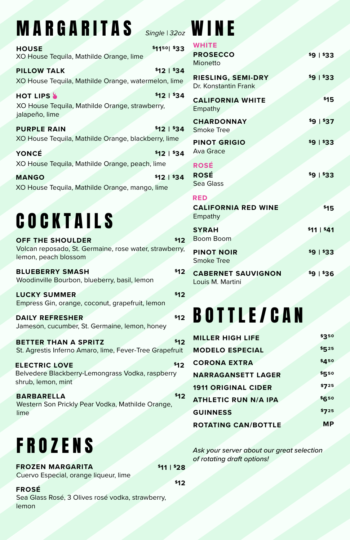### **MARGARITAS** *Single* 132oz **WINE**

| <b>HOUSE</b><br>XO House Tequila, Mathilde Orange, lime                                   | \$1150 \$33 |
|-------------------------------------------------------------------------------------------|-------------|
| <b>PILLOW TALK</b><br>XO House Tequila, Mathilde Orange, watermelon, lime                 | \$12   \$34 |
| <b>HOT LIPS &amp;</b><br>XO House Tequila, Mathilde Orange, strawberry,<br>jalapeño, lime | \$121\$34   |
| <b>PURPLE RAIN</b><br>XO House Tequila, Mathilde Orange, blackberry, lime                 | \$12   \$34 |
| YONCÉ<br>XO House Tequila, Mathilde Orange, peach, lime                                   | \$12   \$34 |

**MANGO** XO House Tequila, Mathilde Orange, mango, lime **\$12 | \$34**

# **COCKTAILS**

**OFF THE SHOULDER** Volcan reposado, St. Germaine, rose water, strawberry, lemon, peach blossom **\$12**

**BLUEBERRY SMASH** Woodinville Bourbon, blueberry, basil, lemon

**LUCKY SUMMER** Empress Gin, orange, coconut, grapefruit, lemon

**DAILY REFRESHER** Jameson, cucumber, St. Germaine, lemon, honey

**BETTER THAN A SPRITZ** St. Agrestis Inferno Amaro, lime, Fever-Tree Grapefruit **\$12**

**ELECTRIC LOVE** Belvedere Blackberry-Lemongrass Vodka, raspberry shrub, lemon, mint **\$12**

**BARBARELLA** Western Son Prickly Pear Vodka, Mathilde Orange, lime **\$12**

### FROZENS

**FROZEN MARGARITA** Cuervo Especial, orange liqueur, lime

**FROSÉ** Sea Glass Rosé, 3 Olives rosé vodka, strawberry, lemon

**\$12**

**\$12**

| <b>WHITE</b>                             |             |
|------------------------------------------|-------------|
| <b>PROSECCO</b>                          | \$91\$33    |
| Mionetto                                 |             |
| RIESLING, SEMI-DRY                       | $$91$ \$33  |
| Dr. Konstantin Frank                     |             |
| <b>CALIFORNIA WHITE</b>                  | \$15        |
| Empathy                                  |             |
| <b>CHARDONNAY</b>                        | $91$ $37$   |
| Smoke Tree                               |             |
| <b>PINOT GRIGIO</b>                      | \$91\$33    |
| Ava Grace                                |             |
| <b>ROSÉ</b>                              |             |
| <b>ROSÉ</b><br>Sea Glass                 | $9 + 33$    |
|                                          |             |
| <b>RED</b><br><b>CALIFORNIA RED WINE</b> | \$15        |
| Empathy                                  |             |
| <b>SYRAH</b>                             | \$11   \$41 |
| <b>Boom Boom</b>                         |             |
| <b>PINOT NOIR</b>                        | \$9   \$33  |
| Smoke Tree                               |             |
| <b>CABERNET SAUVIGNON</b>                | $$9 + $36$  |
| Louis M. Martini                         |             |
|                                          |             |

# BOTTLE/CAN **\$12**

| <b>MILLER HIGH LIFE</b>     | \$350        |
|-----------------------------|--------------|
| <b>MODELO ESPECIAL</b>      | \$525        |
| <b>CORONA EXTRA</b>         | \$450        |
| <b>NARRAGANSETT LAGER</b>   | \$550        |
| <b>1911 ORIGINAL CIDER</b>  | \$725        |
| <b>ATHLETIC RUN N/A IPA</b> | <b>\$650</b> |
| <b>GUINNESS</b>             | \$725        |
| <b>ROTATING CAN/BOTTLE</b>  | МP           |

*Ask your server about our great selection of rotating draft options!*

**\$11 | \$28**

**\$12**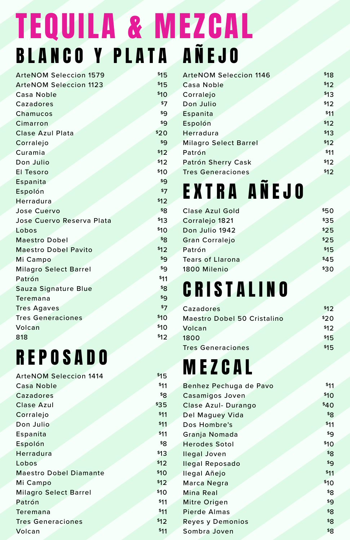## BLANCO Y PLATA AÑEJO \$15 TEQUILA & MEZCAL

| <b>ArteNOM Seleccion 1579</b> | \$15 |
|-------------------------------|------|
| <b>ArteNOM Seleccion 1123</b> | \$15 |
| Casa Noble                    | \$10 |
| Cazadores                     | \$7  |
| Chamucos                      | \$9  |
| Cimarron                      | \$9  |
| Clase Azul Plata              | \$20 |
| Corralejo                     | \$9  |
| Curamia                       | \$12 |
| Don Julio                     | \$12 |
| El Tesoro                     | \$10 |
| Espanita                      | \$9  |
| Espolón                       | \$7  |
| Herradura                     | \$12 |
| Jose Cuervo                   | \$8  |
| Jose Cuervo Reserva Plata     | \$13 |
| Lobos                         | \$10 |
| <b>Maestro Dobel</b>          | \$8  |
| <b>Maestro Dobel Pavito</b>   | \$12 |
| Mi Campo                      | \$9  |
| <b>Milagro Select Barrel</b>  | \$9  |
| Patrón                        | \$11 |
| Sauza Signature Blue          | \$8  |
| Teremana                      | \$9  |
| <b>Tres Agaves</b>            | \$7  |
| <b>Tres Generaciones</b>      | \$10 |
| Volcan                        | \$10 |
| 818                           | \$12 |

### REPOSADO

| <b>ArteNOM Seleccion 1414</b> | \$15 |
|-------------------------------|------|
| Casa Noble                    | \$11 |
| Cazadores                     | \$8  |
| Clase Azul                    | \$35 |
| Corralejo                     | \$11 |
| Don Julio                     | \$11 |
| Espanita                      | \$11 |
| Espolón                       | \$8  |
| Herradura                     | \$13 |
| Lobos                         | \$12 |
| <b>Maestro Dobel Diamante</b> | \$10 |
| Mi Campo                      | \$12 |
| Milagro Select Barrel         | \$10 |
| Patrón                        | \$11 |
| Teremana                      | \$11 |
| <b>Tres Generaciones</b>      | \$12 |
| Volcan                        | \$11 |
|                               |      |

| <b>ArteNOM Seleccion 1146</b> | \$18 |
|-------------------------------|------|
| Casa Noble                    | \$12 |
| Corralejo                     | \$13 |
| Don Julio                     | \$12 |
| Espanita                      | \$11 |
| Espolón                       | \$12 |
| Herradura                     | \$13 |
| <b>Milagro Select Barrel</b>  | \$12 |
| Patrón                        | \$11 |
| Patrón Sherry Cask            | \$12 |
| <b>Tres Generaciones</b>      | \$12 |
|                               |      |

# EXTRA AÑEJO

| Clase Azul Gold         | \$50 |
|-------------------------|------|
| Corralejo 1821          | \$35 |
| Don Julio 1942          | \$25 |
| <b>Gran Corralejo</b>   | \$25 |
| Patrón                  | \$15 |
| <b>Tears of Llarona</b> | \$45 |
| 1800 Milenio            | \$30 |
|                         |      |

## CRISTALINO

| Cazadores                   | \$12 |
|-----------------------------|------|
| Maestro Dobel 50 Cristalino | \$20 |
| Volcan                      | \$12 |
| 1800                        | \$15 |
| <b>Tres Generaciones</b>    | \$15 |

# MEZCAL

| Casamigos Joven      | \$10<br>\$40 |
|----------------------|--------------|
|                      |              |
| Clase Azul-Durango   |              |
| Del Maguey Vida      | \$8          |
| Dos Hombre's         | \$11         |
| Granja Nomada        | \$9          |
| <b>Herodes Sotol</b> | \$10         |
| llegal Joven         | ${}^{58}$    |
| llegal Reposado      | \$9          |
| llegal Añejo         | \$11         |
| Marca Negra          | \$10         |
| Mina Real            | \$8          |
| Mitre Origen         | \$9          |
| Pierde Almas         | \$8          |
| Reyes y Demonios     | \$8          |
| Sombra Joven         | \$8          |